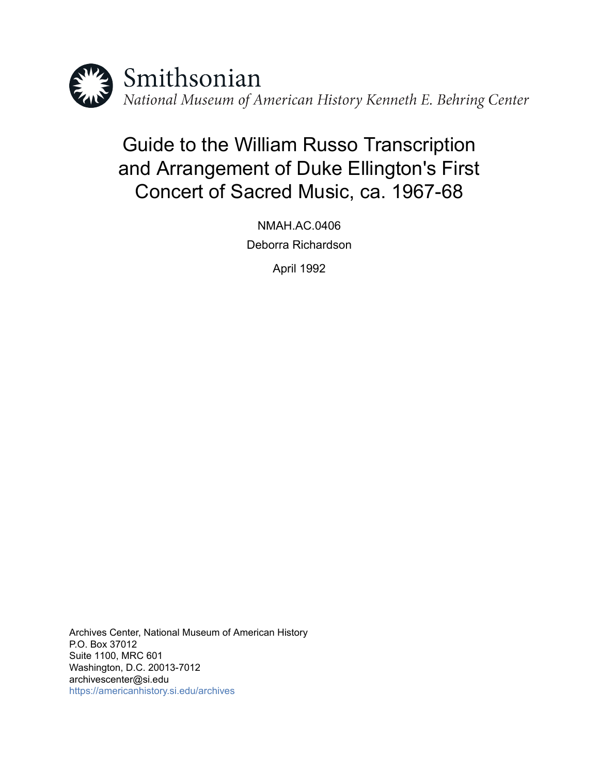

# Guide to the William Russo Transcription and Arrangement of Duke Ellington's First Concert of Sacred Music, ca. 1967-68

NMAH.AC.0406 Deborra Richardson

April 1992

Archives Center, National Museum of American History P.O. Box 37012 Suite 1100, MRC 601 Washington, D.C. 20013-7012 archivescenter@si.edu <https://americanhistory.si.edu/archives>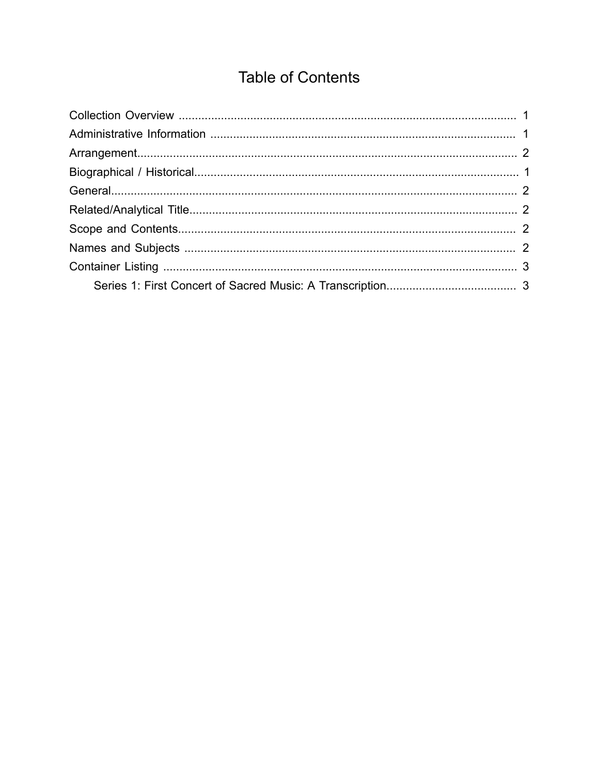## **Table of Contents**

<span id="page-1-0"></span>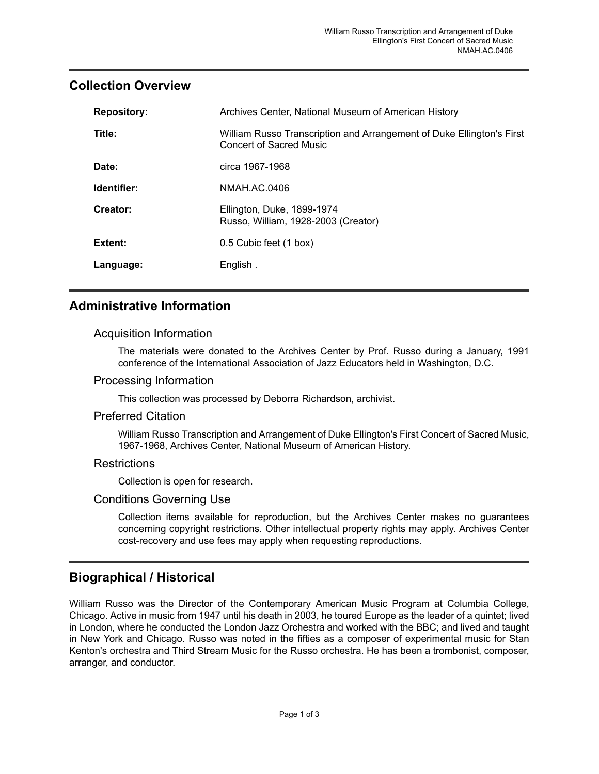## <span id="page-2-0"></span>**Collection Overview**

| <b>Repository:</b> | Archives Center, National Museum of American History                                                    |
|--------------------|---------------------------------------------------------------------------------------------------------|
| Title:             | William Russo Transcription and Arrangement of Duke Ellington's First<br><b>Concert of Sacred Music</b> |
| Date:              | circa 1967-1968                                                                                         |
| Identifier:        | NMAH.AC.0406                                                                                            |
| Creator:           | Ellington, Duke, 1899-1974<br>Russo, William, 1928-2003 (Creator)                                       |
| Extent:            | 0.5 Cubic feet (1 box)                                                                                  |
| Language:          | English.                                                                                                |

## <span id="page-2-1"></span>**Administrative Information**

#### Acquisition Information

The materials were donated to the Archives Center by Prof. Russo during a January, 1991 conference of the International Association of Jazz Educators held in Washington, D.C.

#### Processing Information

This collection was processed by Deborra Richardson, archivist.

#### Preferred Citation

William Russo Transcription and Arrangement of Duke Ellington's First Concert of Sacred Music, 1967-1968, Archives Center, National Museum of American History.

#### **Restrictions**

Collection is open for research.

#### Conditions Governing Use

Collection items available for reproduction, but the Archives Center makes no guarantees concerning copyright restrictions. Other intellectual property rights may apply. Archives Center cost-recovery and use fees may apply when requesting reproductions.

### <span id="page-2-2"></span>**Biographical / Historical**

William Russo was the Director of the Contemporary American Music Program at Columbia College, Chicago. Active in music from 1947 until his death in 2003, he toured Europe as the leader of a quintet; lived in London, where he conducted the London Jazz Orchestra and worked with the BBC; and lived and taught in New York and Chicago. Russo was noted in the fifties as a composer of experimental music for Stan Kenton's orchestra and Third Stream Music for the Russo orchestra. He has been a trombonist, composer, arranger, and conductor.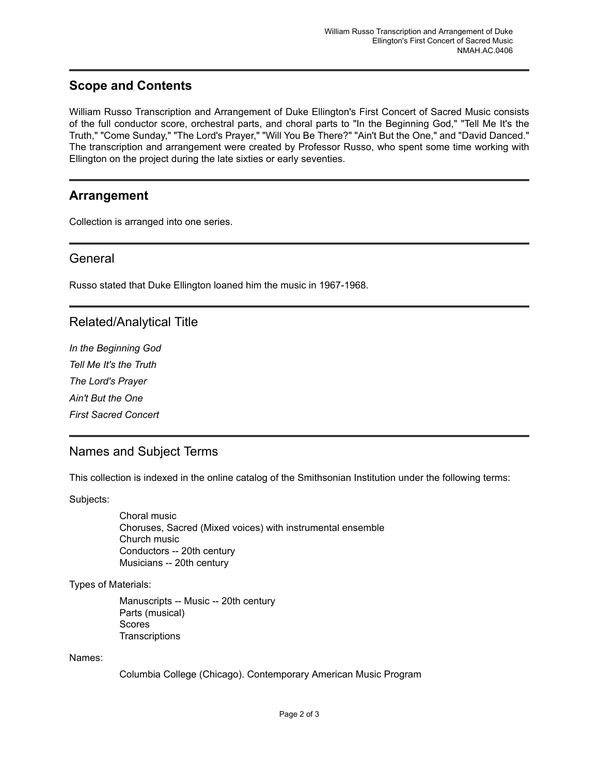## <span id="page-3-3"></span>**Scope and Contents**

William Russo Transcription and Arrangement of Duke Ellington's First Concert of Sacred Music consists of the full conductor score, orchestral parts, and choral parts to "In the Beginning God," "Tell Me It's the Truth," "Come Sunday," "The Lord's Prayer," "Will You Be There?" "Ain't But the One," and "David Danced." The transcription and arrangement were created by Professor Russo, who spent some time working with Ellington on the project during the late sixties or early seventies.

#### <span id="page-3-0"></span>**Arrangement**

Collection is arranged into one series.

#### <span id="page-3-1"></span>**General**

Russo stated that Duke Ellington loaned him the music in 1967-1968.

### <span id="page-3-2"></span>Related/Analytical Title

*In the Beginning God Tell Me It's the Truth The Lord's Prayer Ain't But the One First Sacred Concert*

### <span id="page-3-4"></span>Names and Subject Terms

This collection is indexed in the online catalog of the Smithsonian Institution under the following terms:

Subjects:

Choral music Choruses, Sacred (Mixed voices) with instrumental ensemble Church music Conductors -- 20th century Musicians -- 20th century

Types of Materials:

Manuscripts -- Music -- 20th century Parts (musical) Scores **Transcriptions** 

Names:

Columbia College (Chicago). Contemporary American Music Program